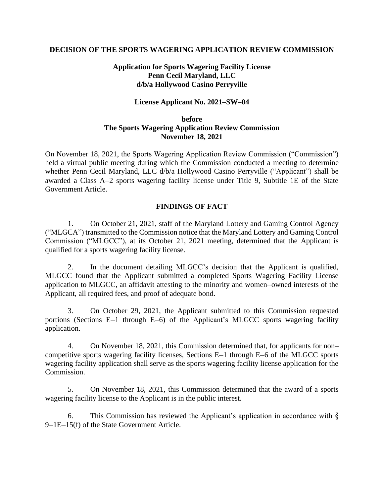### **DECISION OF THE SPORTS WAGERING APPLICATION REVIEW COMMISSION**

# **Application for Sports Wagering Facility License Penn Cecil Maryland, LLC d/b/a Hollywood Casino Perryville**

### **License Applicant No. 2021–SW–04**

## **before The Sports Wagering Application Review Commission November 18, 2021**

On November 18, 2021, the Sports Wagering Application Review Commission ("Commission") held a virtual public meeting during which the Commission conducted a meeting to determine whether Penn Cecil Maryland, LLC d/b/a Hollywood Casino Perryville ("Applicant") shall be awarded a Class A–2 sports wagering facility license under Title 9, Subtitle 1E of the State Government Article.

## **FINDINGS OF FACT**

1. On October 21, 2021, staff of the Maryland Lottery and Gaming Control Agency ("MLGCA") transmitted to the Commission notice that the Maryland Lottery and Gaming Control Commission ("MLGCC"), at its October 21, 2021 meeting, determined that the Applicant is qualified for a sports wagering facility license.

2. In the document detailing MLGCC's decision that the Applicant is qualified, MLGCC found that the Applicant submitted a completed Sports Wagering Facility License application to MLGCC, an affidavit attesting to the minority and women–owned interests of the Applicant, all required fees, and proof of adequate bond.

3. On October 29, 2021, the Applicant submitted to this Commission requested portions (Sections E–1 through E–6) of the Applicant's MLGCC sports wagering facility application.

4. On November 18, 2021, this Commission determined that, for applicants for non– competitive sports wagering facility licenses, Sections E–1 through E–6 of the MLGCC sports wagering facility application shall serve as the sports wagering facility license application for the Commission.

5. On November 18, 2021, this Commission determined that the award of a sports wagering facility license to the Applicant is in the public interest.

6. This Commission has reviewed the Applicant's application in accordance with § 9–1E–15(f) of the State Government Article.